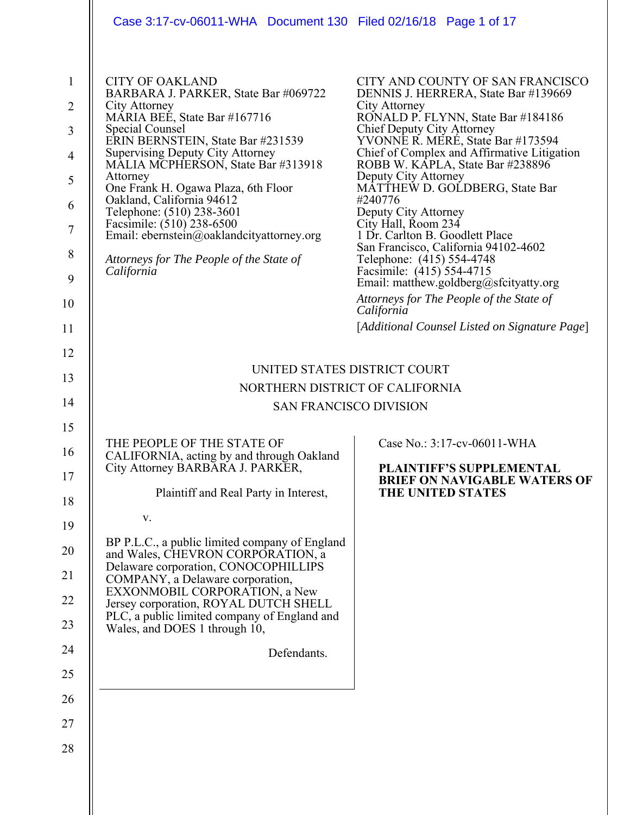| Case 3:17-cv-06011-WHA Document 130 Filed 02/16/18 Page 1 of 17                                                                                                                                                                                                                                                                                                                                                                                                                                           |                                                                                                                                                                                                                                                                                                                                                                                                                                                                                                                                                                                                                                                                                                     |
|-----------------------------------------------------------------------------------------------------------------------------------------------------------------------------------------------------------------------------------------------------------------------------------------------------------------------------------------------------------------------------------------------------------------------------------------------------------------------------------------------------------|-----------------------------------------------------------------------------------------------------------------------------------------------------------------------------------------------------------------------------------------------------------------------------------------------------------------------------------------------------------------------------------------------------------------------------------------------------------------------------------------------------------------------------------------------------------------------------------------------------------------------------------------------------------------------------------------------------|
| <b>CITY OF OAKLAND</b><br>BARBARA J. PARKER, State Bar #069722<br>City Attorney<br>MARIA BEE, State Bar #167716<br>Special Counsel<br>ERIN BERNSTEIN, State Bar #231539<br><b>Supervising Deputy City Attorney</b><br>MALIA MCPHERSON, State Bar #313918<br>Attorney<br>One Frank H. Ogawa Plaza, 6th Floor<br>Oakland, California 94612<br>Telephone: (510) 238-3601<br>Facsimile: (510) 238-6500<br>Email: ebernstein@oaklandcityattorney.org<br>Attorneys for The People of the State of<br>California | CITY AND COUNTY OF SAN FRANCISCO<br>DENNIS J. HERRERA, State Bar #139669<br>City Attorney<br>RONALD P. FLYNN, State Bar #184186<br>Chief Deputy City Attorney<br>YVONNE R. MERE, State Bar #173594<br>Chief of Complex and Affirmative Litigation<br>ROBB W. KĀPLA, State Bar #238896<br>Deputy City Attorney<br>MATTHEW D. GOLDBERG, State Bar<br>#240776<br>Deputy City Attorney<br>City Hall, Room 234<br>1 Dr. Carlton B. Goodlett Place<br>San Francisco, California 94102-4602<br>Telephone: (415) 554-4748<br>Facsimile: (415) 554-4715<br>Email: matthew.goldberg@sfcityatty.org<br>Attorneys for The People of the State of<br>California<br>[Additional Counsel Listed on Signature Page] |
|                                                                                                                                                                                                                                                                                                                                                                                                                                                                                                           |                                                                                                                                                                                                                                                                                                                                                                                                                                                                                                                                                                                                                                                                                                     |
| NORTHERN DISTRICT OF CALIFORNIA                                                                                                                                                                                                                                                                                                                                                                                                                                                                           |                                                                                                                                                                                                                                                                                                                                                                                                                                                                                                                                                                                                                                                                                                     |
| <b>SAN FRANCISCO DIVISION</b>                                                                                                                                                                                                                                                                                                                                                                                                                                                                             |                                                                                                                                                                                                                                                                                                                                                                                                                                                                                                                                                                                                                                                                                                     |
| THE PEOPLE OF THE STATE OF<br>CALIFORNIA, acting by and through Oakland<br>City Attorney BARBARA J. PARKER,<br>Plaintiff and Real Party in Interest,<br>V.<br>BP P.L.C., a public limited company of England<br>and Wales, CHEVRON CORPORATION, a<br>Delaware corporation, CONOCOPHILLIPS<br>COMPANY, a Delaware corporation,<br>EXXONMOBIL CORPORATION, a New<br>Jersey corporation, ROYAL DUTCH SHELL<br>PLC, a public limited company of England and<br>Wales, and DOES 1 through 10,<br>Defendants.   | Case No.: 3:17-cv-06011-WHA<br>PLAINTIFF'S SUPPLEMENTAL<br><b>BRIEF ON NAVIGABLE WATERS OF</b><br>THE UNITED STATES                                                                                                                                                                                                                                                                                                                                                                                                                                                                                                                                                                                 |
|                                                                                                                                                                                                                                                                                                                                                                                                                                                                                                           | UNITED STATES DISTRICT COURT                                                                                                                                                                                                                                                                                                                                                                                                                                                                                                                                                                                                                                                                        |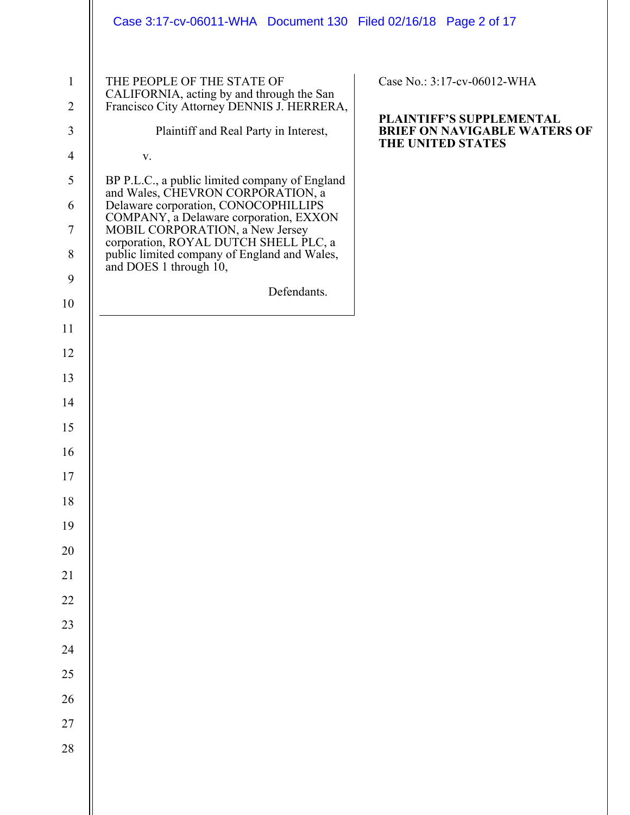|                                | Case 3:17-cv-06011-WHA  Document 130  Filed 02/16/18  Page 2 of 17                                                    |                                                          |
|--------------------------------|-----------------------------------------------------------------------------------------------------------------------|----------------------------------------------------------|
| $\mathbf{1}$<br>$\overline{2}$ | THE PEOPLE OF THE STATE OF<br>CALIFORNIA, acting by and through the San<br>Francisco City Attorney DENNIS J. HERRERA, | Case No.: 3:17-cv-06012-WHA<br>PLAINTIFF'S SUPPLEMENTAL  |
| 3                              | Plaintiff and Real Party in Interest,                                                                                 | <b>BRIEF ON NAVIGABLE WATERS OF</b><br>THE UNITED STATES |
| $\overline{4}$                 | V.                                                                                                                    |                                                          |
| 5                              | BP P.L.C., a public limited company of England<br>and Wales, CHEVRON CORPORATION, a                                   |                                                          |
| 6                              | Delaware corporation, CONOCOPHILLIPS<br>COMPANY, a Delaware corporation, EXXON                                        |                                                          |
| $\tau$                         | MOBIL CORPORATION, a New Jersey<br>corporation, ROYAL DUTCH SHELL PLC, a                                              |                                                          |
| $8\,$                          | public limited company of England and Wales,<br>and DOES 1 through 10,                                                |                                                          |
| 9                              | Defendants.                                                                                                           |                                                          |
| 10                             |                                                                                                                       |                                                          |
| 11                             |                                                                                                                       |                                                          |
| 12                             |                                                                                                                       |                                                          |
| 13                             |                                                                                                                       |                                                          |
| 14                             |                                                                                                                       |                                                          |
| 15                             |                                                                                                                       |                                                          |
| 16                             |                                                                                                                       |                                                          |
| $17\,$                         |                                                                                                                       |                                                          |
| $18\,$                         |                                                                                                                       |                                                          |
| 19                             |                                                                                                                       |                                                          |
| $20\,$                         |                                                                                                                       |                                                          |
| 21                             |                                                                                                                       |                                                          |
| $22\,$                         |                                                                                                                       |                                                          |
| 23                             |                                                                                                                       |                                                          |
| 24                             |                                                                                                                       |                                                          |
| $25\,$                         |                                                                                                                       |                                                          |
| $26\,$                         |                                                                                                                       |                                                          |
| $27\,$                         |                                                                                                                       |                                                          |
| $28\,$                         |                                                                                                                       |                                                          |
|                                |                                                                                                                       |                                                          |
|                                |                                                                                                                       |                                                          |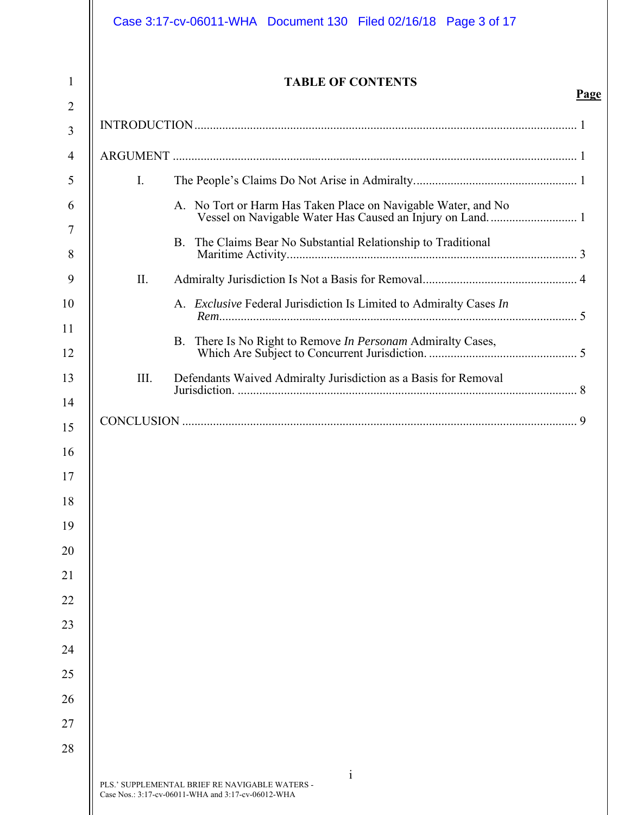|      | <b>TABLE OF CONTENTS</b>                                           | Page |
|------|--------------------------------------------------------------------|------|
|      |                                                                    |      |
|      |                                                                    |      |
| I.   |                                                                    |      |
|      | A. No Tort or Harm Has Taken Place on Navigable Water, and No      |      |
|      | B. The Claims Bear No Substantial Relationship to Traditional      |      |
| Π.   |                                                                    |      |
|      | A. Exclusive Federal Jurisdiction Is Limited to Admiralty Cases In |      |
|      | B. There Is No Right to Remove In Personam Admiralty Cases,        |      |
| III. | Defendants Waived Admiralty Jurisdiction as a Basis for Removal    |      |
|      |                                                                    |      |
|      |                                                                    |      |
|      |                                                                    |      |
|      |                                                                    |      |
|      |                                                                    |      |
|      |                                                                    |      |
|      |                                                                    |      |
|      |                                                                    |      |
|      |                                                                    |      |
|      |                                                                    |      |
|      |                                                                    |      |
|      |                                                                    |      |
|      |                                                                    |      |
|      |                                                                    |      |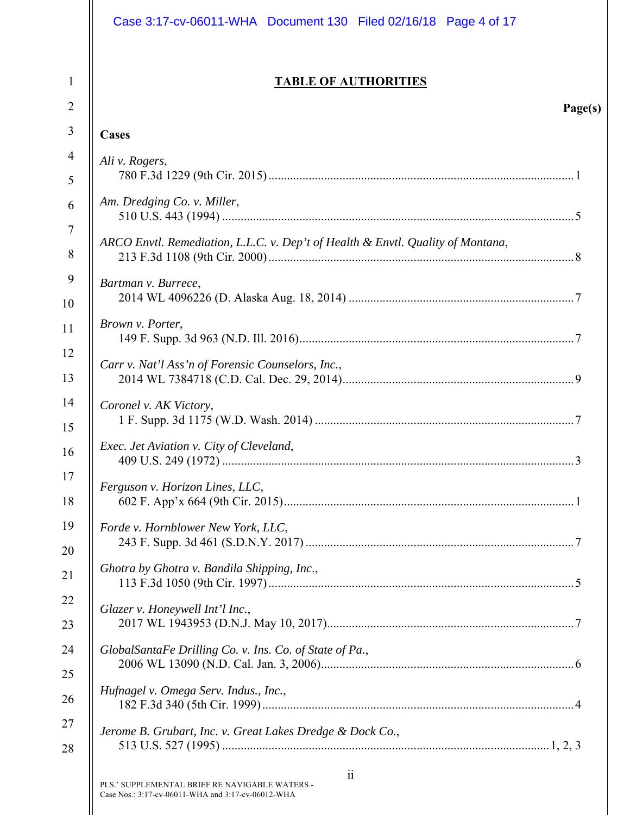|                | Case 3:17-cv-06011-WHA Document 130 Filed 02/16/18 Page 4 of 17                                                         |
|----------------|-------------------------------------------------------------------------------------------------------------------------|
| $\mathbf{1}$   | <b>TABLE OF AUTHORITIES</b>                                                                                             |
| $\overline{2}$ | Page(s)                                                                                                                 |
| 3              | Cases                                                                                                                   |
| $\overline{4}$ | Ali v. Rogers,                                                                                                          |
| 5              |                                                                                                                         |
| 6              | Am. Dredging Co. v. Miller,                                                                                             |
| $\tau$         |                                                                                                                         |
| 8              | ARCO Envtl. Remediation, L.L.C. v. Dep't of Health & Envtl. Quality of Montana,                                         |
| 9              | Bartman v. Burrece,                                                                                                     |
| 10             |                                                                                                                         |
| 11             | Brown v. Porter,                                                                                                        |
| 12             | Carr v. Nat'l Ass'n of Forensic Counselors, Inc.,                                                                       |
| 13             |                                                                                                                         |
| 14             | Coronel v. AK Victory,                                                                                                  |
| 15             |                                                                                                                         |
| 16             | Exec. Jet Aviation v. City of Cleveland,<br>3                                                                           |
| 17             | Ferguson v. Horizon Lines, LLC,                                                                                         |
| 18             |                                                                                                                         |
| 19             | Forde v. Hornblower New York, LLC,                                                                                      |
| 20             |                                                                                                                         |
| 21             | Ghotra by Ghotra v. Bandila Shipping, Inc.,                                                                             |
| 22             | Glazer v. Honeywell Int'l Inc.,                                                                                         |
| 23             |                                                                                                                         |
| 24             | GlobalSantaFe Drilling Co. v. Ins. Co. of State of Pa.,                                                                 |
| 25             |                                                                                                                         |
| 26             | Hufnagel v. Omega Serv. Indus., Inc.,                                                                                   |
| 27             | Jerome B. Grubart, Inc. v. Great Lakes Dredge & Dock Co.,                                                               |
| 28             |                                                                                                                         |
|                | $\ddot{\rm ii}$<br>PLS.' SUPPLEMENTAL BRIEF RE NAVIGABLE WATERS -<br>Case Nos.: 3:17-cv-06011-WHA and 3:17-cv-06012-WHA |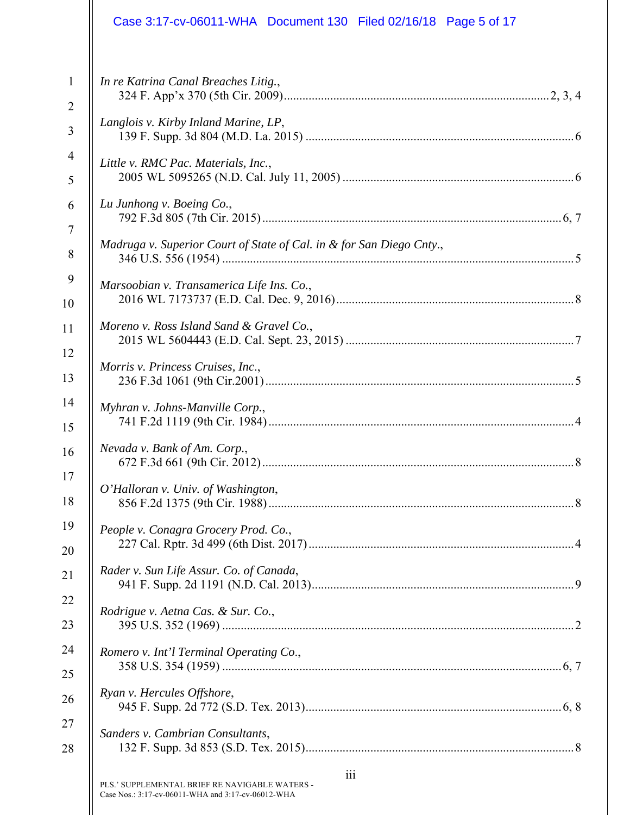|                | Case 3:17-cv-06011-WHA Document 130 Filed 02/16/18 Page 5 of 17                                             |  |
|----------------|-------------------------------------------------------------------------------------------------------------|--|
| $\mathbf{1}$   | In re Katrina Canal Breaches Litig.,                                                                        |  |
| $\overline{2}$ |                                                                                                             |  |
| 3              | Langlois v. Kirby Inland Marine, LP,                                                                        |  |
| $\overline{4}$ | Little v. RMC Pac. Materials, Inc.,                                                                         |  |
| 5              |                                                                                                             |  |
| 6              | Lu Junhong v. Boeing Co.,                                                                                   |  |
| $\overline{7}$ |                                                                                                             |  |
| 8              | Madruga v. Superior Court of State of Cal. in & for San Diego Cnty.,                                        |  |
| 9              | Marsoobian v. Transamerica Life Ins. Co.,                                                                   |  |
| 10             |                                                                                                             |  |
| 11             | Moreno v. Ross Island Sand & Gravel Co.,                                                                    |  |
| 12             | Morris v. Princess Cruises, Inc.,                                                                           |  |
| 13             |                                                                                                             |  |
| 14             | Myhran v. Johns-Manville Corp.,                                                                             |  |
| 15             |                                                                                                             |  |
| 16             | Nevada v. Bank of Am. Corp.,<br>.8                                                                          |  |
| 17             | O'Halloran v. Univ. of Washington,                                                                          |  |
| 18             |                                                                                                             |  |
| 19             | People v. Conagra Grocery Prod. Co.,                                                                        |  |
| 20             |                                                                                                             |  |
| 21             | Rader v. Sun Life Assur. Co. of Canada,                                                                     |  |
| 22             | Rodrigue v. Aetna Cas. & Sur. Co.,                                                                          |  |
| 23             |                                                                                                             |  |
| 24             | Romero v. Int'l Terminal Operating Co.,                                                                     |  |
| 25             |                                                                                                             |  |
| 26             | Ryan v. Hercules Offshore,                                                                                  |  |
| 27             | Sanders v. Cambrian Consultants,                                                                            |  |
| 28             |                                                                                                             |  |
|                | 111<br>PLS.' SUPPLEMENTAL BRIEF RE NAVIGABLE WATERS -<br>Case Nos.: 3:17-cv-06011-WHA and 3:17-cv-06012-WHA |  |

Case Nos.: 3:17-cv-06011-WHA and 3:17-cv-06012-WHA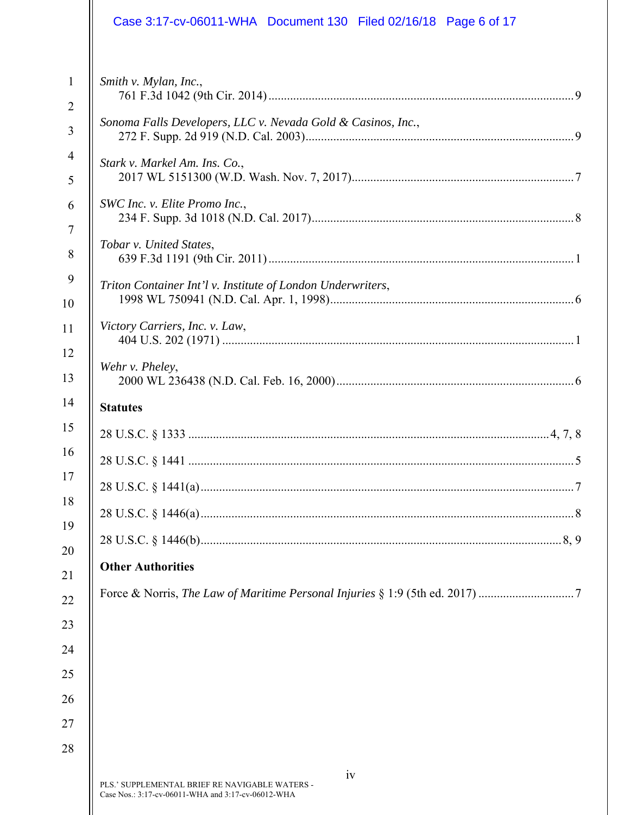| Case 3:17-cv-06011-WHA Document 130 Filed 02/16/18 Page 6 of 17                                            |  |
|------------------------------------------------------------------------------------------------------------|--|
| $\mathbf{1}$<br>Smith v. Mylan, Inc.,<br>$\overline{2}$                                                    |  |
| Sonoma Falls Developers, LLC v. Nevada Gold & Casinos, Inc.,                                               |  |
| Stark v. Markel Am. Ins. Co.,                                                                              |  |
| SWC Inc. v. Elite Promo Inc.,                                                                              |  |
| Tobar v. United States,                                                                                    |  |
| Triton Container Int'l v. Institute of London Underwriters,                                                |  |
| Victory Carriers, Inc. v. Law,                                                                             |  |
| Wehr v. Pheley,                                                                                            |  |
| <b>Statutes</b>                                                                                            |  |
|                                                                                                            |  |
| 28 U.S.C. § 1441                                                                                           |  |
|                                                                                                            |  |
|                                                                                                            |  |
|                                                                                                            |  |
| <b>Other Authorities</b>                                                                                   |  |
|                                                                                                            |  |
|                                                                                                            |  |
|                                                                                                            |  |
|                                                                                                            |  |
|                                                                                                            |  |
| iv<br>PLS.' SUPPLEMENTAL BRIEF RE NAVIGABLE WATERS -<br>Case Nos.: 3:17-cv-06011-WHA and 3:17-cv-06012-WHA |  |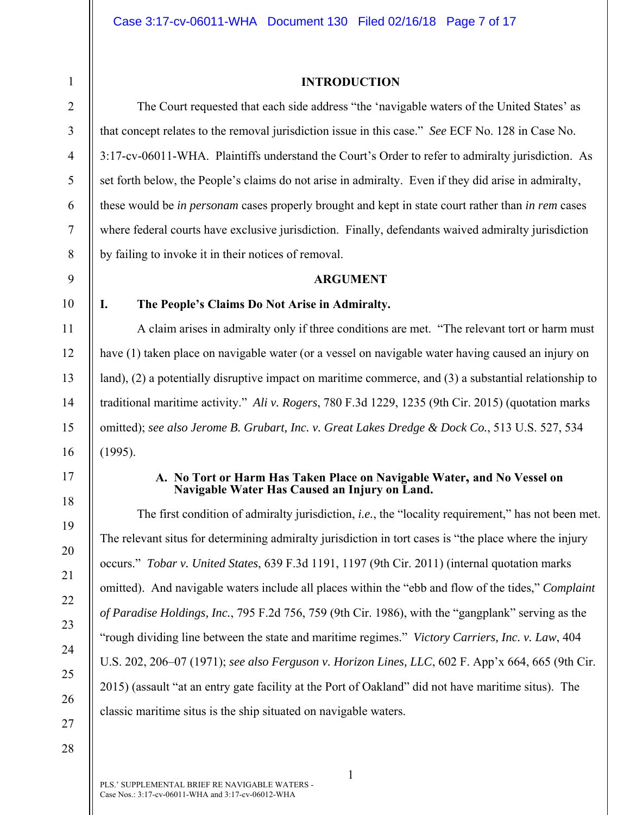**INTRODUCTION** 

# The Court requested that each side address "the 'navigable waters of the United States' as that concept relates to the removal jurisdiction issue in this case." *See* ECF No. 128 in Case No. 3:17-cv-06011-WHA. Plaintiffs understand the Court's Order to refer to admiralty jurisdiction. As set forth below, the People's claims do not arise in admiralty. Even if they did arise in admiralty, these would be *in personam* cases properly brought and kept in state court rather than *in rem* cases where federal courts have exclusive jurisdiction. Finally, defendants waived admiralty jurisdiction by failing to invoke it in their notices of removal.

#### **ARGUMENT**

10

11

12

13

14

15

16

1

2

3

4

5

6

7

8

9

# **I. The People's Claims Do Not Arise in Admiralty.**

A claim arises in admiralty only if three conditions are met. "The relevant tort or harm must have (1) taken place on navigable water (or a vessel on navigable water having caused an injury on land), (2) a potentially disruptive impact on maritime commerce, and (3) a substantial relationship to traditional maritime activity." *Ali v. Rogers*, 780 F.3d 1229, 1235 (9th Cir. 2015) (quotation marks omitted); *see also Jerome B. Grubart, Inc. v. Great Lakes Dredge & Dock Co.*, 513 U.S. 527, 534 (1995).

17

18

19

20

21

22

23

24

25

26

#### **A. No Tort or Harm Has Taken Place on Navigable Water, and No Vessel on Navigable Water Has Caused an Injury on Land.**

The first condition of admiralty jurisdiction, *i.e.*, the "locality requirement," has not been met. The relevant situs for determining admiralty jurisdiction in tort cases is "the place where the injury occurs." *Tobar v. United States*, 639 F.3d 1191, 1197 (9th Cir. 2011) (internal quotation marks omitted). And navigable waters include all places within the "ebb and flow of the tides," *Complaint of Paradise Holdings, Inc.*, 795 F.2d 756, 759 (9th Cir. 1986), with the "gangplank" serving as the "rough dividing line between the state and maritime regimes." *Victory Carriers, Inc. v. Law*, 404 U.S. 202, 206–07 (1971); *see also Ferguson v. Horizon Lines, LLC*, 602 F. App'x 664, 665 (9th Cir. 2015) (assault "at an entry gate facility at the Port of Oakland" did not have maritime situs). The classic maritime situs is the ship situated on navigable waters.

28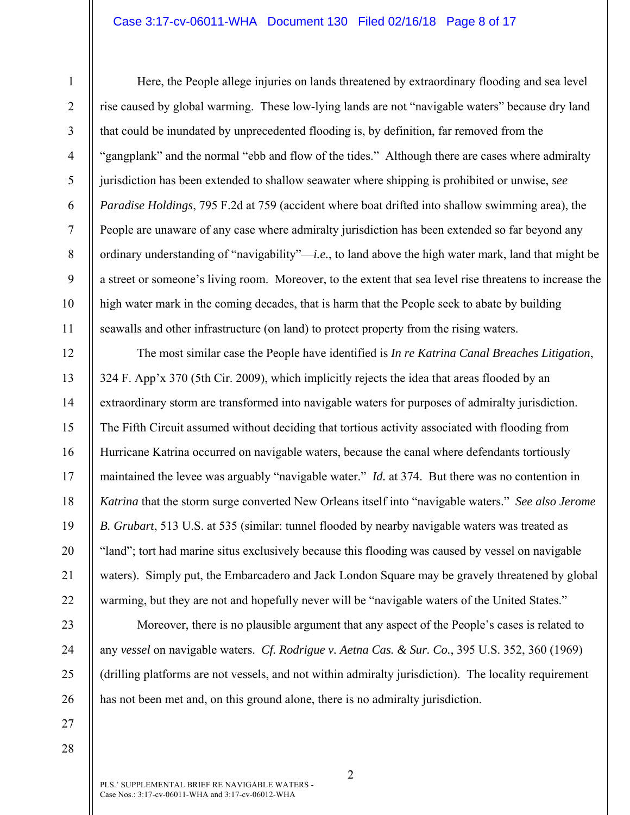## Case 3:17-cv-06011-WHA Document 130 Filed 02/16/18 Page 8 of 17

6

7

8

9

10

11

12

13

14

15

16

17

18

19

20

21

22

23

24

25

26

1

Here, the People allege injuries on lands threatened by extraordinary flooding and sea level rise caused by global warming. These low-lying lands are not "navigable waters" because dry land that could be inundated by unprecedented flooding is, by definition, far removed from the "gangplank" and the normal "ebb and flow of the tides." Although there are cases where admiralty jurisdiction has been extended to shallow seawater where shipping is prohibited or unwise, *see Paradise Holdings*, 795 F.2d at 759 (accident where boat drifted into shallow swimming area), the People are unaware of any case where admiralty jurisdiction has been extended so far beyond any ordinary understanding of "navigability"—*i.e.*, to land above the high water mark, land that might be a street or someone's living room. Moreover, to the extent that sea level rise threatens to increase the high water mark in the coming decades, that is harm that the People seek to abate by building seawalls and other infrastructure (on land) to protect property from the rising waters.

The most similar case the People have identified is *In re Katrina Canal Breaches Litigation*, 324 F. App'x 370 (5th Cir. 2009), which implicitly rejects the idea that areas flooded by an extraordinary storm are transformed into navigable waters for purposes of admiralty jurisdiction. The Fifth Circuit assumed without deciding that tortious activity associated with flooding from Hurricane Katrina occurred on navigable waters, because the canal where defendants tortiously maintained the levee was arguably "navigable water." *Id.* at 374. But there was no contention in *Katrina* that the storm surge converted New Orleans itself into "navigable waters." *See also Jerome B. Grubart*, 513 U.S. at 535 (similar: tunnel flooded by nearby navigable waters was treated as "land"; tort had marine situs exclusively because this flooding was caused by vessel on navigable waters). Simply put, the Embarcadero and Jack London Square may be gravely threatened by global warming, but they are not and hopefully never will be "navigable waters of the United States."

Moreover, there is no plausible argument that any aspect of the People's cases is related to any *vessel* on navigable waters. *Cf. Rodrigue v. Aetna Cas. & Sur. Co.*, 395 U.S. 352, 360 (1969) (drilling platforms are not vessels, and not within admiralty jurisdiction). The locality requirement has not been met and, on this ground alone, there is no admiralty jurisdiction.

27 28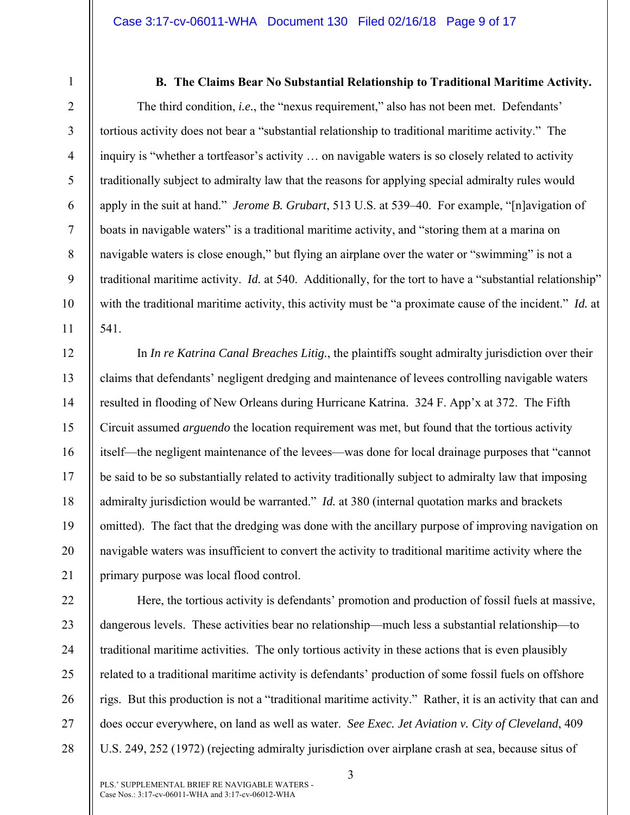2 3

4

5

6

7

8

9

10

11

12

13

14

15

16

17

18

19

20

21

1

**B. The Claims Bear No Substantial Relationship to Traditional Maritime Activity.** 

The third condition, *i.e.*, the "nexus requirement," also has not been met. Defendants' tortious activity does not bear a "substantial relationship to traditional maritime activity." The inquiry is "whether a tortfeasor's activity … on navigable waters is so closely related to activity traditionally subject to admiralty law that the reasons for applying special admiralty rules would apply in the suit at hand." *Jerome B. Grubart*, 513 U.S. at 539–40. For example, "[n]avigation of boats in navigable waters" is a traditional maritime activity, and "storing them at a marina on navigable waters is close enough," but flying an airplane over the water or "swimming" is not a traditional maritime activity. *Id.* at 540. Additionally, for the tort to have a "substantial relationship" with the traditional maritime activity, this activity must be "a proximate cause of the incident." *Id.* at 541.

In *In re Katrina Canal Breaches Litig.*, the plaintiffs sought admiralty jurisdiction over their claims that defendants' negligent dredging and maintenance of levees controlling navigable waters resulted in flooding of New Orleans during Hurricane Katrina. 324 F. App'x at 372. The Fifth Circuit assumed *arguendo* the location requirement was met, but found that the tortious activity itself—the negligent maintenance of the levees—was done for local drainage purposes that "cannot be said to be so substantially related to activity traditionally subject to admiralty law that imposing admiralty jurisdiction would be warranted." *Id.* at 380 (internal quotation marks and brackets omitted). The fact that the dredging was done with the ancillary purpose of improving navigation on navigable waters was insufficient to convert the activity to traditional maritime activity where the primary purpose was local flood control.

22 23 24 25 26 27 28 Here, the tortious activity is defendants' promotion and production of fossil fuels at massive, dangerous levels. These activities bear no relationship—much less a substantial relationship—to traditional maritime activities. The only tortious activity in these actions that is even plausibly related to a traditional maritime activity is defendants' production of some fossil fuels on offshore rigs. But this production is not a "traditional maritime activity." Rather, it is an activity that can and does occur everywhere, on land as well as water. *See Exec. Jet Aviation v. City of Cleveland*, 409 U.S. 249, 252 (1972) (rejecting admiralty jurisdiction over airplane crash at sea, because situs of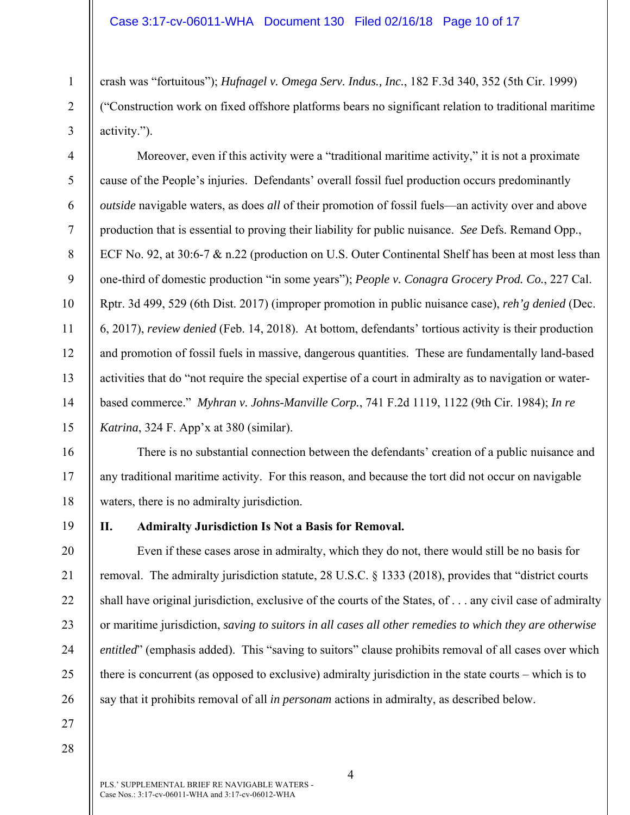crash was "fortuitous"); *Hufnagel v. Omega Serv. Indus., Inc.*, 182 F.3d 340, 352 (5th Cir. 1999) ("Construction work on fixed offshore platforms bears no significant relation to traditional maritime activity.").

Moreover, even if this activity were a "traditional maritime activity," it is not a proximate cause of the People's injuries. Defendants' overall fossil fuel production occurs predominantly *outside* navigable waters, as does *all* of their promotion of fossil fuels—an activity over and above production that is essential to proving their liability for public nuisance. *See* Defs. Remand Opp., ECF No. 92, at 30:6-7 & n.22 (production on U.S. Outer Continental Shelf has been at most less than one-third of domestic production "in some years"); *People v. Conagra Grocery Prod. Co.*, 227 Cal. Rptr. 3d 499, 529 (6th Dist. 2017) (improper promotion in public nuisance case), *reh'g denied* (Dec. 6, 2017), *review denied* (Feb. 14, 2018). At bottom, defendants' tortious activity is their production and promotion of fossil fuels in massive, dangerous quantities. These are fundamentally land-based activities that do "not require the special expertise of a court in admiralty as to navigation or waterbased commerce." *Myhran v. Johns-Manville Corp.*, 741 F.2d 1119, 1122 (9th Cir. 1984); *In re Katrina*, 324 F. App'x at 380 (similar).

There is no substantial connection between the defendants' creation of a public nuisance and any traditional maritime activity. For this reason, and because the tort did not occur on navigable waters, there is no admiralty jurisdiction.

19

1

2

3

4

5

6

7

8

9

10

11

12

13

14

15

16

17

18

20

21

22

23

24

25

26

# **II. Admiralty Jurisdiction Is Not a Basis for Removal.**

Even if these cases arose in admiralty, which they do not, there would still be no basis for removal. The admiralty jurisdiction statute, 28 U.S.C. § 1333 (2018), provides that "district courts shall have original jurisdiction, exclusive of the courts of the States, of . . . any civil case of admiralty or maritime jurisdiction, *saving to suitors in all cases all other remedies to which they are otherwise entitled*" (emphasis added). This "saving to suitors" clause prohibits removal of all cases over which there is concurrent (as opposed to exclusive) admiralty jurisdiction in the state courts – which is to say that it prohibits removal of all *in personam* actions in admiralty, as described below.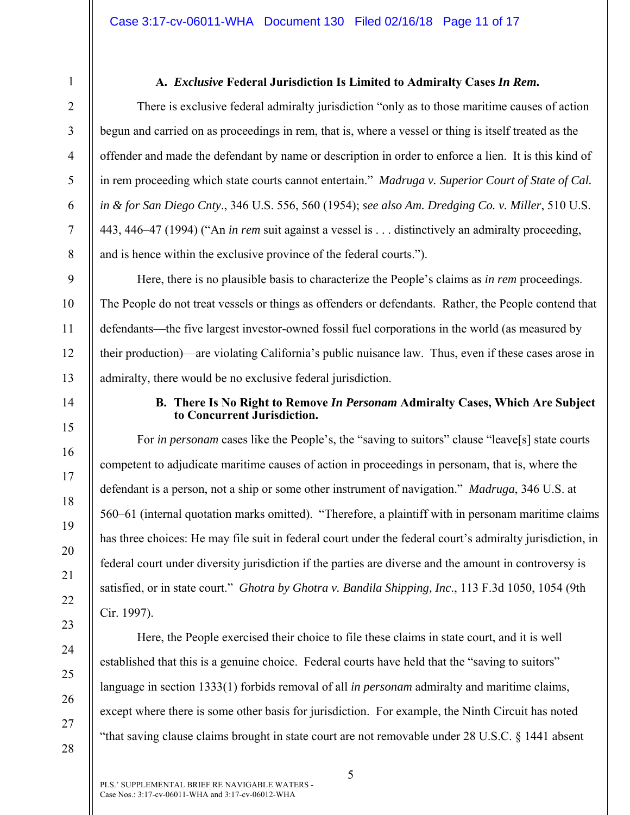# **A.** *Exclusive* **Federal Jurisdiction Is Limited to Admiralty Cases** *In Rem***.**

There is exclusive federal admiralty jurisdiction "only as to those maritime causes of action begun and carried on as proceedings in rem, that is, where a vessel or thing is itself treated as the offender and made the defendant by name or description in order to enforce a lien. It is this kind of in rem proceeding which state courts cannot entertain." *Madruga v. Superior Court of State of Cal. in & for San Diego Cnty*., 346 U.S. 556, 560 (1954); *see also Am. Dredging Co. v. Miller*, 510 U.S. 443, 446–47 (1994) ("An *in rem* suit against a vessel is . . . distinctively an admiralty proceeding, and is hence within the exclusive province of the federal courts.").

Here, there is no plausible basis to characterize the People's claims as *in rem* proceedings. The People do not treat vessels or things as offenders or defendants. Rather, the People contend that defendants—the five largest investor-owned fossil fuel corporations in the world (as measured by their production)—are violating California's public nuisance law. Thus, even if these cases arose in admiralty, there would be no exclusive federal jurisdiction.

14

15

16

17

18

19

20

21

22

23

24

25

26

27

28

1

2

3

4

5

6

7

8

9

10

11

12

13

# **B. There Is No Right to Remove** *In Personam* **Admiralty Cases, Which Are Subject to Concurrent Jurisdiction.**

For *in personam* cases like the People's, the "saving to suitors" clause "leave[s] state courts competent to adjudicate maritime causes of action in proceedings in personam, that is, where the defendant is a person, not a ship or some other instrument of navigation." *Madruga*, 346 U.S. at 560–61 (internal quotation marks omitted). "Therefore, a plaintiff with in personam maritime claims has three choices: He may file suit in federal court under the federal court's admiralty jurisdiction, in federal court under diversity jurisdiction if the parties are diverse and the amount in controversy is satisfied, or in state court." *Ghotra by Ghotra v. Bandila Shipping, Inc*., 113 F.3d 1050, 1054 (9th Cir. 1997).

Here, the People exercised their choice to file these claims in state court, and it is well established that this is a genuine choice. Federal courts have held that the "saving to suitors" language in section 1333(1) forbids removal of all *in personam* admiralty and maritime claims, except where there is some other basis for jurisdiction. For example, the Ninth Circuit has noted "that saving clause claims brought in state court are not removable under 28 U.S.C. § 1441 absent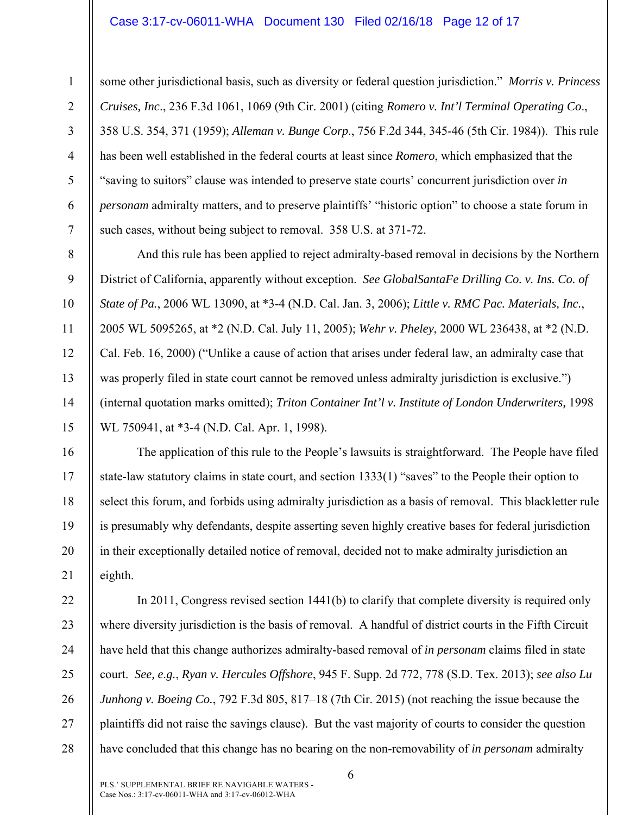## Case 3:17-cv-06011-WHA Document 130 Filed 02/16/18 Page 12 of 17

1

2

3

4

5

6

7

8

9

10

11

12

13

14

15

16

17

18

19

20

21

some other jurisdictional basis, such as diversity or federal question jurisdiction." *Morris v. Princess Cruises, Inc*., 236 F.3d 1061, 1069 (9th Cir. 2001) (citing *Romero v. Int'l Terminal Operating Co*., 358 U.S. 354, 371 (1959); *Alleman v. Bunge Corp*., 756 F.2d 344, 345-46 (5th Cir. 1984)). This rule has been well established in the federal courts at least since *Romero*, which emphasized that the "saving to suitors" clause was intended to preserve state courts' concurrent jurisdiction over *in personam* admiralty matters, and to preserve plaintiffs' "historic option" to choose a state forum in such cases, without being subject to removal. 358 U.S. at 371-72.

And this rule has been applied to reject admiralty-based removal in decisions by the Northern District of California, apparently without exception. *See GlobalSantaFe Drilling Co. v. Ins. Co. of State of Pa.*, 2006 WL 13090, at \*3-4 (N.D. Cal. Jan. 3, 2006); *Little v. RMC Pac. Materials, Inc.*, 2005 WL 5095265, at \*2 (N.D. Cal. July 11, 2005); *Wehr v. Pheley*, 2000 WL 236438, at \*2 (N.D. Cal. Feb. 16, 2000) ("Unlike a cause of action that arises under federal law, an admiralty case that was properly filed in state court cannot be removed unless admiralty jurisdiction is exclusive.") (internal quotation marks omitted); *Triton Container Int'l v. Institute of London Underwriters,* 1998 WL 750941, at \*3-4 (N.D. Cal. Apr. 1, 1998).

The application of this rule to the People's lawsuits is straightforward. The People have filed state-law statutory claims in state court, and section 1333(1) "saves" to the People their option to select this forum, and forbids using admiralty jurisdiction as a basis of removal. This blackletter rule is presumably why defendants, despite asserting seven highly creative bases for federal jurisdiction in their exceptionally detailed notice of removal, decided not to make admiralty jurisdiction an eighth.

22 23 24 25 26 27 28 In 2011, Congress revised section 1441(b) to clarify that complete diversity is required only where diversity jurisdiction is the basis of removal. A handful of district courts in the Fifth Circuit have held that this change authorizes admiralty-based removal of *in personam* claims filed in state court. *See, e.g.*, *Ryan v. Hercules Offshore*, 945 F. Supp. 2d 772, 778 (S.D. Tex. 2013); *see also Lu Junhong v. Boeing Co.*, 792 F.3d 805, 817–18 (7th Cir. 2015) (not reaching the issue because the plaintiffs did not raise the savings clause). But the vast majority of courts to consider the question have concluded that this change has no bearing on the non-removability of *in personam* admiralty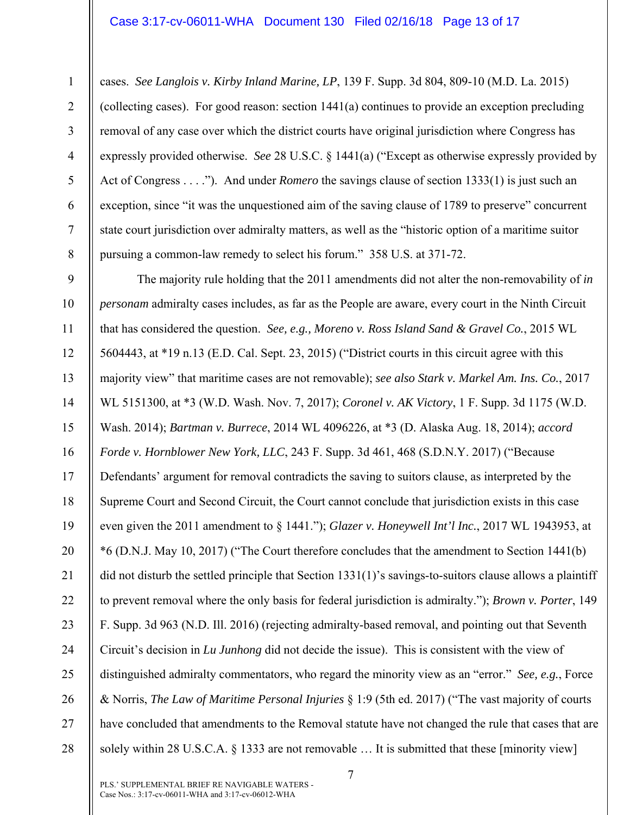## Case 3:17-cv-06011-WHA Document 130 Filed 02/16/18 Page 13 of 17

1

2

3

4

5

6

7

8

cases. *See Langlois v. Kirby Inland Marine, LP*, 139 F. Supp. 3d 804, 809-10 (M.D. La. 2015) (collecting cases). For good reason: section 1441(a) continues to provide an exception precluding removal of any case over which the district courts have original jurisdiction where Congress has expressly provided otherwise. *See* 28 U.S.C. § 1441(a) ("Except as otherwise expressly provided by Act of Congress . . . ."). And under *Romero* the savings clause of section 1333(1) is just such an exception, since "it was the unquestioned aim of the saving clause of 1789 to preserve" concurrent state court jurisdiction over admiralty matters, as well as the "historic option of a maritime suitor pursuing a common-law remedy to select his forum." 358 U.S. at 371-72.

9 10 11 12 13 14 15 16 17 18 19 20 21 22 23 24 25 26 27 28 The majority rule holding that the 2011 amendments did not alter the non-removability of *in personam* admiralty cases includes, as far as the People are aware, every court in the Ninth Circuit that has considered the question. *See, e.g., Moreno v. Ross Island Sand & Gravel Co.*, 2015 WL 5604443, at \*19 n.13 (E.D. Cal. Sept. 23, 2015) ("District courts in this circuit agree with this majority view" that maritime cases are not removable); *see also Stark v. Markel Am. Ins. Co.*, 2017 WL 5151300, at \*3 (W.D. Wash. Nov. 7, 2017); *Coronel v. AK Victory*, 1 F. Supp. 3d 1175 (W.D. Wash. 2014); *Bartman v. Burrece*, 2014 WL 4096226, at \*3 (D. Alaska Aug. 18, 2014); *accord Forde v. Hornblower New York, LLC*, 243 F. Supp. 3d 461, 468 (S.D.N.Y. 2017) ("Because Defendants' argument for removal contradicts the saving to suitors clause, as interpreted by the Supreme Court and Second Circuit, the Court cannot conclude that jurisdiction exists in this case even given the 2011 amendment to § 1441."); *Glazer v. Honeywell Int'l Inc.*, 2017 WL 1943953, at \*6 (D.N.J. May 10, 2017) ("The Court therefore concludes that the amendment to Section 1441(b) did not disturb the settled principle that Section 1331(1)'s savings-to-suitors clause allows a plaintiff to prevent removal where the only basis for federal jurisdiction is admiralty."); *Brown v. Porter*, 149 F. Supp. 3d 963 (N.D. Ill. 2016) (rejecting admiralty-based removal, and pointing out that Seventh Circuit's decision in *Lu Junhong* did not decide the issue). This is consistent with the view of distinguished admiralty commentators, who regard the minority view as an "error." *See, e.g.*, Force & Norris, *The Law of Maritime Personal Injuries* § 1:9 (5th ed. 2017) ("The vast majority of courts have concluded that amendments to the Removal statute have not changed the rule that cases that are solely within 28 U.S.C.A. § 1333 are not removable ... It is submitted that these [minority view]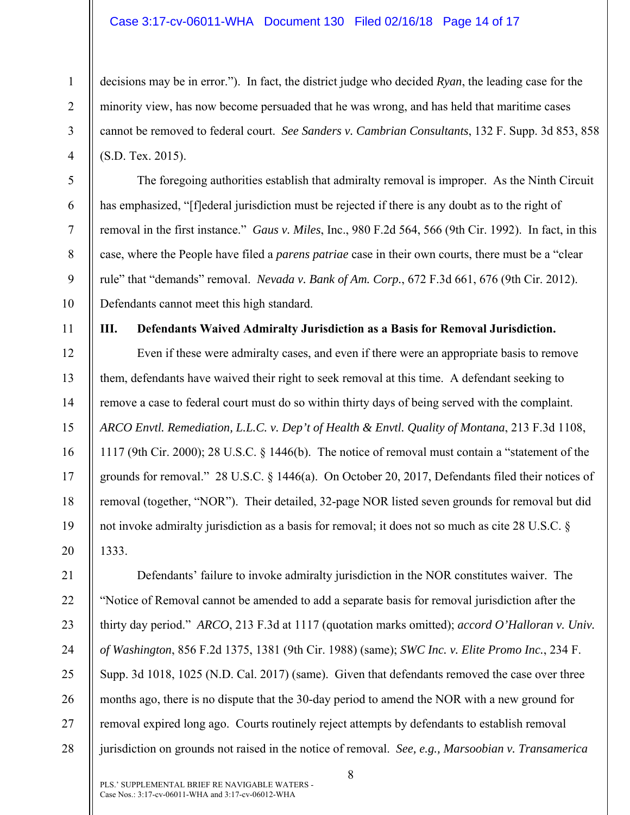## Case 3:17-cv-06011-WHA Document 130 Filed 02/16/18 Page 14 of 17

decisions may be in error."). In fact, the district judge who decided *Ryan*, the leading case for the minority view, has now become persuaded that he was wrong, and has held that maritime cases cannot be removed to federal court. *See Sanders v. Cambrian Consultants*, 132 F. Supp. 3d 853, 858 (S.D. Tex. 2015).

The foregoing authorities establish that admiralty removal is improper. As the Ninth Circuit has emphasized, "[f]ederal jurisdiction must be rejected if there is any doubt as to the right of removal in the first instance." *Gaus v. Miles*, Inc., 980 F.2d 564, 566 (9th Cir. 1992). In fact, in this case, where the People have filed a *parens patriae* case in their own courts, there must be a "clear rule" that "demands" removal. *Nevada v. Bank of Am. Corp.*, 672 F.3d 661, 676 (9th Cir. 2012). Defendants cannot meet this high standard.

1

2

3

4

5

6

7

8

9

10

11

12

13

14

15

16

17

18

19

20

**III. Defendants Waived Admiralty Jurisdiction as a Basis for Removal Jurisdiction.** 

Even if these were admiralty cases, and even if there were an appropriate basis to remove them, defendants have waived their right to seek removal at this time. A defendant seeking to remove a case to federal court must do so within thirty days of being served with the complaint. *ARCO Envtl. Remediation, L.L.C. v. Dep't of Health & Envtl. Quality of Montana*, 213 F.3d 1108, 1117 (9th Cir. 2000); 28 U.S.C. § 1446(b). The notice of removal must contain a "statement of the grounds for removal." 28 U.S.C. § 1446(a). On October 20, 2017, Defendants filed their notices of removal (together, "NOR"). Their detailed, 32-page NOR listed seven grounds for removal but did not invoke admiralty jurisdiction as a basis for removal; it does not so much as cite 28 U.S.C. § 1333.

21 22 23 24 25 26 27 28 Defendants' failure to invoke admiralty jurisdiction in the NOR constitutes waiver. The "Notice of Removal cannot be amended to add a separate basis for removal jurisdiction after the thirty day period." *ARCO*, 213 F.3d at 1117 (quotation marks omitted); *accord O'Halloran v. Univ. of Washington*, 856 F.2d 1375, 1381 (9th Cir. 1988) (same); *SWC Inc. v. Elite Promo Inc.*, 234 F. Supp. 3d 1018, 1025 (N.D. Cal. 2017) (same). Given that defendants removed the case over three months ago, there is no dispute that the 30-day period to amend the NOR with a new ground for removal expired long ago. Courts routinely reject attempts by defendants to establish removal jurisdiction on grounds not raised in the notice of removal. *See, e.g., Marsoobian v. Transamerica*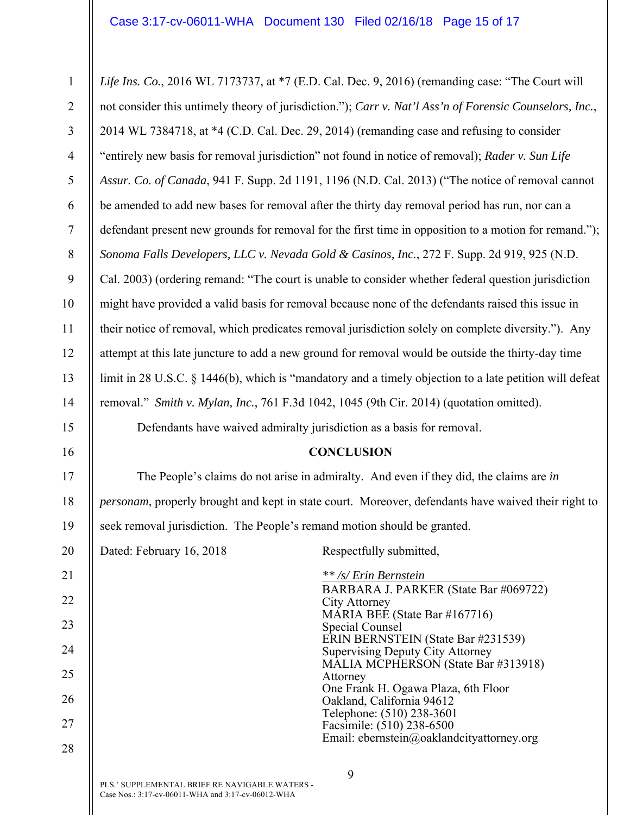9 PLS.' SUPPLEMENTAL BRIEF RE NAVIGABLE WATERS - Case Nos.: 3:17-cv-06011-WHA and 3:17-cv-06012-WHA 1 2 3 4 5 6 7 8 9 10 11 12 13 14 15 16 17 18 19 20 21 22 23 24 25 26 27 28 *Life Ins. Co.*, 2016 WL 7173737, at \*7 (E.D. Cal. Dec. 9, 2016) (remanding case: "The Court will not consider this untimely theory of jurisdiction."); *Carr v. Nat'l Ass'n of Forensic Counselors, Inc.*, 2014 WL 7384718, at \*4 (C.D. Cal. Dec. 29, 2014) (remanding case and refusing to consider "entirely new basis for removal jurisdiction" not found in notice of removal); *Rader v. Sun Life Assur. Co. of Canada*, 941 F. Supp. 2d 1191, 1196 (N.D. Cal. 2013) ("The notice of removal cannot be amended to add new bases for removal after the thirty day removal period has run, nor can a defendant present new grounds for removal for the first time in opposition to a motion for remand."); *Sonoma Falls Developers, LLC v. Nevada Gold & Casinos, Inc.*, 272 F. Supp. 2d 919, 925 (N.D. Cal. 2003) (ordering remand: "The court is unable to consider whether federal question jurisdiction might have provided a valid basis for removal because none of the defendants raised this issue in their notice of removal, which predicates removal jurisdiction solely on complete diversity."). Any attempt at this late juncture to add a new ground for removal would be outside the thirty-day time limit in 28 U.S.C. § 1446(b), which is "mandatory and a timely objection to a late petition will defeat removal." *Smith v. Mylan, Inc.*, 761 F.3d 1042, 1045 (9th Cir. 2014) (quotation omitted). Defendants have waived admiralty jurisdiction as a basis for removal. **CONCLUSION**  The People's claims do not arise in admiralty. And even if they did, the claims are *in personam*, properly brought and kept in state court. Moreover, defendants have waived their right to seek removal jurisdiction. The People's remand motion should be granted. Dated: February 16, 2018 Respectfully submitted, *\*\* /s/ Erin Bernstein* BARBARA J. PARKER (State Bar #069722) City Attorney MÁRIA BEÉ (State Bar #167716) Special Counsel ERIN BERNSTEIN (State Bar #231539) Supervising Deputy City Attorney MALIA MCPHERSON (State Bar #313918) Attorney One Frank H. Ogawa Plaza, 6th Floor Oakland, California 94612 Telephone: (510) 238-3601 Facsimile: (510) 238-6500 Email: ebernstein@oaklandcityattorney.org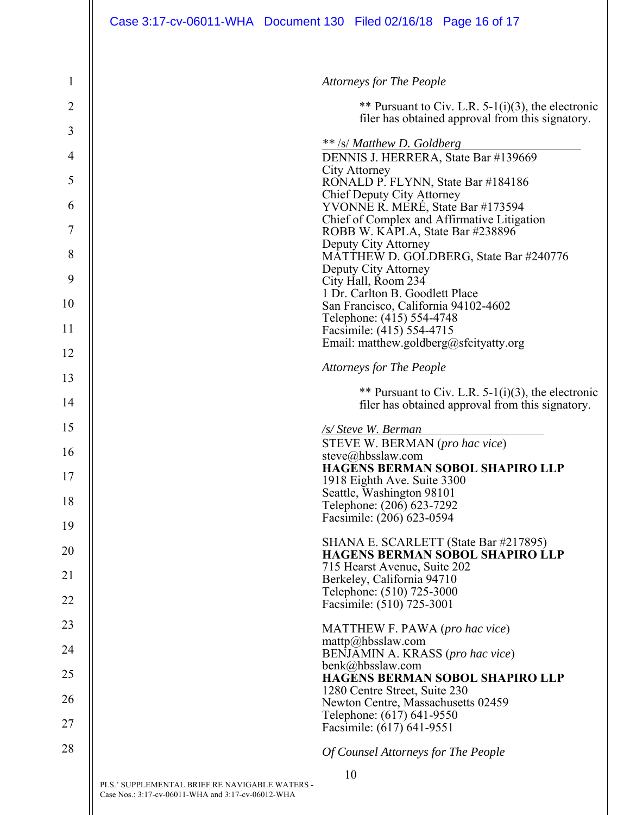| $\mathbf{1}$   |                                                                                                      | <b>Attorneys for The People</b>                                                                           |
|----------------|------------------------------------------------------------------------------------------------------|-----------------------------------------------------------------------------------------------------------|
| $\overline{2}$ |                                                                                                      | ** Pursuant to Civ. L.R. 5-1(i)(3), the electronic<br>filer has obtained approval from this signatory.    |
| 3              |                                                                                                      |                                                                                                           |
| 4              |                                                                                                      | ** /s/ Matthew D. Goldberg<br>DENNIS J. HERRERA, State Bar #139669                                        |
| 5              |                                                                                                      | City Attorney<br>RONALD P. FLYNN, State Bar #184186                                                       |
| 6              |                                                                                                      | <b>Chief Deputy City Attorney</b><br>YVONNE R. MERÉ, State Bar #173594                                    |
| 7              |                                                                                                      | Chief of Complex and Affirmative Litigation<br>ROBB W. KAPLA, State Bar #238896                           |
| 8              |                                                                                                      | Deputy City Attorney<br>MATTHEW D. GOLDBERG, State Bar #240776                                            |
| 9              |                                                                                                      | Deputy City Attorney<br>City Hall, Room 234                                                               |
| 10             |                                                                                                      | 1 Dr. Carlton B. Goodlett Place                                                                           |
|                |                                                                                                      | San Francisco, California 94102-4602<br>Telephone: (415) 554-4748                                         |
| 11             |                                                                                                      | Facsimile: (415) 554-4715<br>Email: matthew.goldberg@sfcityatty.org                                       |
| 12             |                                                                                                      |                                                                                                           |
| 13             |                                                                                                      | <b>Attorneys for The People</b>                                                                           |
| 14             |                                                                                                      | ** Pursuant to Civ. L.R. $5-1(i)(3)$ , the electronic<br>filer has obtained approval from this signatory. |
| 15             |                                                                                                      | /s/ Steve W. Berman                                                                                       |
| 16             |                                                                                                      | STEVE W. BERMAN (pro hac vice)<br>steve@hbsslaw.com                                                       |
| 17             |                                                                                                      | <b>HAGENS BERMAN SOBOL SHAPIRO LLP</b>                                                                    |
|                |                                                                                                      | 1918 Eighth Ave. Suite 3300<br>Seattle, Washington 98101                                                  |
| 18             |                                                                                                      | Telephone: (206) 623-7292<br>Facsimile: (206) 623-0594                                                    |
| 19             |                                                                                                      |                                                                                                           |
| 20             |                                                                                                      | SHANA E. SCARLETT (State Bar #217895)<br><b>HAGENS BERMAN SOBOL SHAPIRO LLP</b>                           |
| 21             |                                                                                                      | 715 Hearst Avenue, Suite 202<br>Berkeley, California 94710                                                |
| 22             |                                                                                                      | Telephone: (510) 725-3000                                                                                 |
|                |                                                                                                      | Facsimile: (510) 725-3001                                                                                 |
| 23             |                                                                                                      | MATTHEW F. PAWA (pro hac vice)<br>mattp@hbsslaw.com                                                       |
| 24             |                                                                                                      | BENJAMIN A. KRASS (pro hac vice)                                                                          |
| 25             |                                                                                                      | benk@hbsslaw.com<br><b>HAGENS BERMAN SOBOL SHAPIRO LLP</b>                                                |
| 26             |                                                                                                      | 1280 Centre Street, Suite 230<br>Newton Centre, Massachusetts 02459                                       |
| 27             |                                                                                                      | Telephone: (617) 641-9550<br>Facsimile: (617) 641-9551                                                    |
| 28             |                                                                                                      | Of Counsel Attorneys for The People                                                                       |
|                |                                                                                                      | 10                                                                                                        |
|                | PLS.' SUPPLEMENTAL BRIEF RE NAVIGABLE WATERS -<br>Case Nos.: 3:17-cv-06011-WHA and 3:17-cv-06012-WHA |                                                                                                           |